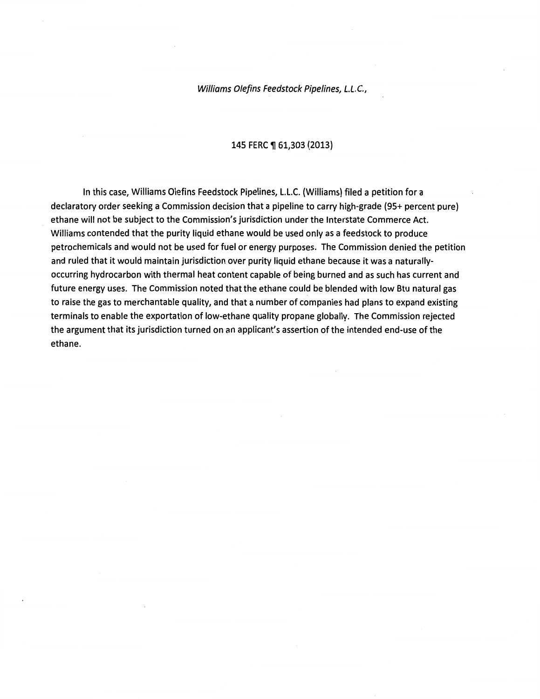Williams 0/efins Feedstock Pipelines, L.L.C.,

#### 145 FERC ¶ 61,303 (2013)

In this case, Williams Olefins Feedstock Pipelines, L.L.C. (Williams) filed a petition for a declaratory order seeking a Commission decision that a pipeline to carry high-grade (95+ percent pure) ethane will not be subject to the Commission's jurisdiction under the Interstate Commerce Act. Williams contended that the purity liquid ethane would be used only as a feedstock to produce petrochemicals and would not be used for fuel or energy purposes. The Commission denied the petition and ruled that it would maintain jurisdiction over purity liquid ethane because it was a naturallyoccurring hydrocarbon with thermal heat content capable of being burned and as such has current and future energy uses. The Commission noted that the ethane could be blended with low Btu natural gas to raise the gas to merchantable quality, and that a number of companies had plans to expand existing terminals to enable the exportation of low-ethane quality propane globally. The Commission rejected the argument that its jurisdiction turned on an applicant's assertion of the intended end-use of the ethane.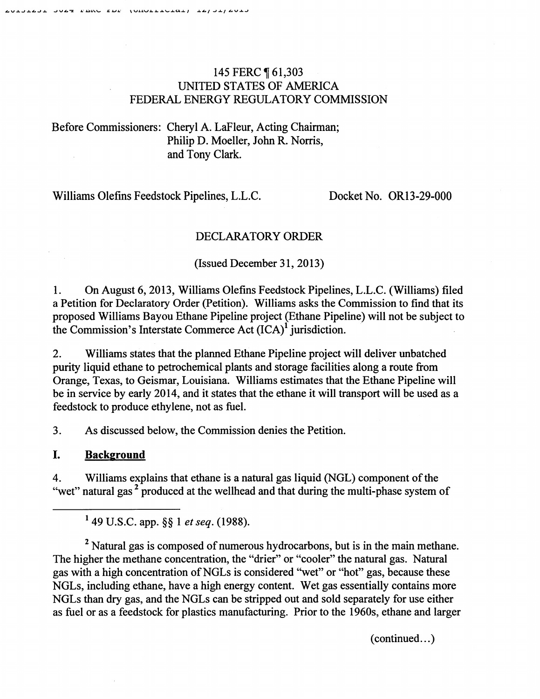## 145 FERC ¶ 61,303 UNITED STATES OF AMERICA FEDERAL ENERGY REGULATORY COMMISSION

# Before Commissioners: Cheryl A. LaFleur, Acting Chairman; Philip D. Moeller, John R. Norris, and Tony Clark.

Williams Olefins Feedstock Pipelines, L.L.C. Docket No. OR13-29-000

# DECLARATORY ORDER

(Issued December 31, 2013)

1. On August 6, 2013, Williams Olefins Feedstock Pipelines, L.L.C. (Williams) filed a Petition for Declaratory Order (Petition). Williams asks the Commission to find that its proposed Williams Bayou Ethane Pipeline project (Ethane Pipeline) will not be subject to the Commission's Interstate Commerce Act  $(ICA)^1$  jurisdiction.

2. Williams states that the planned Ethane Pipeline project will deliver unhatched purity liquid ethane to petrochemical plants and storage facilities along a route from Orange, Texas, to Geismar, Louisiana. Williams estimates that the Ethane Pipeline will be in service by early 2014, and it states that the ethane it will transport will be used as a feedstock to produce ethylene, not as fuel.

3. As discussed below, the Commission denies the Petition.

## I. **Background**

4. Williams explains that ethane is a natural gas liquid (NGL) component of the "wet" natural gas<sup>2</sup> produced at the wellhead and that during the multi-phase system of

<sup>2</sup> Natural gas is composed of numerous hydrocarbons, but is in the main methane. The higher the methane concentration, the "drier" or "cooler" the natural gas. Natural gas with a high concentration ofNGLs is considered ''wet" or "hot" gas, because these NGLs, including ethane, have a high energy content. Wet gas essentially contains more NGLs than dry gas, and the NGLs can be stripped out and sold separately for use either as fuel or as a feedstock for plastics manufacturing. Prior to the 1960s, ethane and larger

 $(continued...)$ 

<sup>1 49</sup> U.S.C. app. §§ 1 *et seq.* (1988).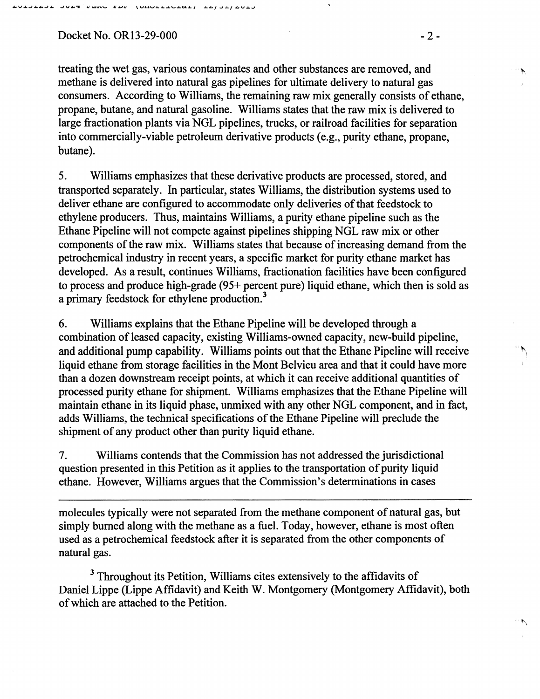### Docket No. OR13-29-000 - 2 -

treating the wet gas, various contaminates and other substances are removed, and methane is delivered into natural gas pipelines for ultimate delivery to natural gas consumers. According to Williams, the remaining raw mix generally consists of ethane, propane, butane, and natural gasoline. Williams states that the raw mix is delivered to large fractionation plants via NGL pipelines, trucks, or railroad facilities for separation into commercially-viable petroleum derivative products (e.g., purity ethane, propane, butane).

5. Williams emphasizes that these derivative products are processed, stored, and transported separately. In particular, states Williams, the distribution systems used to deliver ethane are configured to accommodate only deliveries of that feedstock to ethylene producers. Thus, maintains Williams, a purity ethane pipeline such as the Ethane Pipeline will not compete against pipelines shipping NGL raw mix or other components of the raw mix. Williams states that because of increasing demand from the petrochemical industry in recent years, a specific market for purity ethane market has developed. As a result, continues Williams, fractionation facilities have been configured to process and produce high-grade (95+ percent pure) liquid ethane, which then is sold as a primary feedstock for ethylene production.3

6. Williams explains that the Ethane Pipeline will be developed through a combination of leased capacity, existing Williams-owned capacity, new-build pipeline, and additional pump capability. Williams points out that the Ethane Pipeline will receive liquid ethane from storage facilities in the Mont Belvieu area and that it could have more than a dozen downstream receipt points, at which it can receive additional quantities of processed purity ethane for shipment. Williams emphasizes that the Ethane Pipeline will maintain ethane in its liquid phase, unmixed with any other NGL component, and in fact, adds Williams, the technical specifications of the Ethane Pipeline will preclude the shipment of any product other than purity liquid ethane.

7. Williams contends that the Commission has not addressed the jurisdictional question presented in this Petition as it applies to the transportation of purity liquid ethane. However, Williams argues that the Commission's determinations in cases

molecules typically were not separated from the methane component of natural gas, but simply burned along with the methane as a fuel. Today, however, ethane is most often used as a petrochemical feedstock after it is separated from the other components of natural gas.

<sup>3</sup> Throughout its Petition, Williams cites extensively to the affidavits of Daniel Lippe (Lippe Affidavit) and Keith W. Montgomery (Montgomery Affidavit), both of which are attached to the Petition.

 $\sim$   $\sim$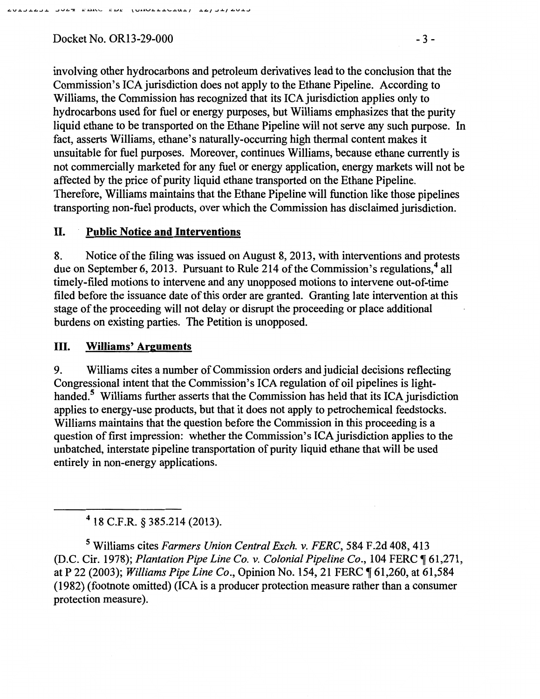Docket No. OR13-29-000 - 3 -

involving other hydrocarbons and petroleum derivatives lead to the conclusion that the Commission's ICA jurisdiction does not apply to the Ethane Pipeline. According to Williams, the Commission has recognized that its ICA jurisdiction applies only to hydrocarbons used for fuel or energy purposes, but Williams emphasizes that the purity liquid ethane to be transported on the Ethane Pipeline will not serve any such purpose. In fact, asserts Williams, ethane's naturally-occurring high thermal content makes it unsuitable for fuel purposes. Moreover, continues Williams, because ethane currently is not commercially marketed for any fuel or energy application, energy markets will not be affected by the price of purity liquid ethane transported on the Ethane Pipeline. Therefore, Williams maintains that the Ethane Pipeline will function like those pipelines transporting non-fuel products, over which the Commission has disclaimed jurisdiction.

### II. **Public Notice and Interventions**

8. Notice of the filing was issued on August 8, 2013, with interventions and protests due on September 6, 2013. Pursuant to Rule 214 of the Commission's regulations,<sup>4</sup> all timely-filed motions to intervene and any unopposed motions to intervene out-of-time filed before the issuance date of this order are granted. Granting late intervention at this stage of the proceeding will not delay or disrupt the proceeding or place additional burdens on existing parties. The Petition is unopposed.

#### III. **Williams' Arguments**

9. Williams cites a number of Commission orders and judicial decisions reflecting Congressional intent that the Commission's ICA regulation of oil pipelines is lighthanded.<sup>5</sup> Williams further asserts that the Commission has held that its ICA jurisdiction applies to energy-use products, but that it does not apply to petrochemical feedstocks. Williams maintains that the question before the Commission in this proceeding is a question of first impression: whether the Commission's ICA jurisdiction applies to the unhatched, interstate pipeline transportation of purity liquid ethane that will be used entirely in non-energy applications.

4 18 C.F.R. § 385.214 (2013).

*5* Williams cites *Farmers Union Central Exch.* v. *FERC,* 584 F.2d 408,413 (D.C. Cir. 1978); *Plantation Pipe Line Co. v. Colonial Pipeline Co.*, 104 FERC  $\P$  61,271, at P 22 (2003); *Williams Pipe Line Co.*, Opinion No. 154, 21 FERC  $\P$  61,260, at 61,584 (1982) (footnote omitted) (ICA is a producer protection measure rather than a consumer protection measure).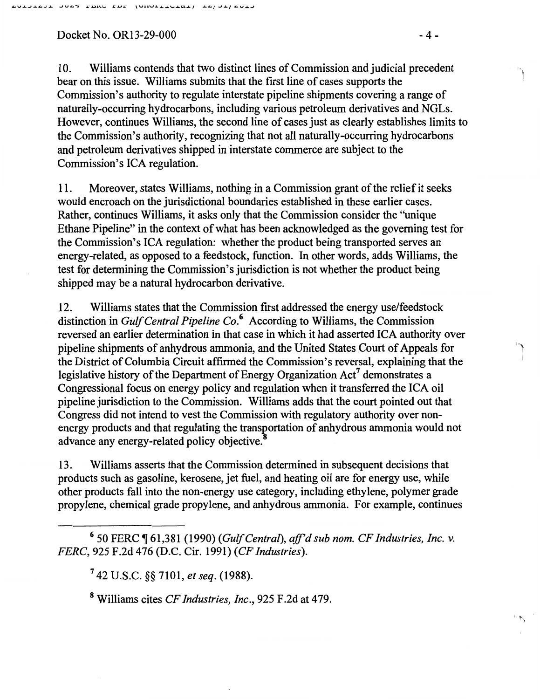Docket No. OR13-29-000 - 4 -

10. Williams contends that two distinct lines of Commission and judicial precedent bear on this issue. Williams submits that the first line of cases supports the Commission's authority to regulate interstate pipeline shipments covering a range of naturally-occurring hydrocarbons, including various petroleum derivatives and NGLs. However, continues Williams, the second line of cases just as clearly establishes limits to the Commission's authority, recognizing that not all naturally-occurring hydrocarbons and petroleum derivatives shipped in interstate commerce are subject to the Commission's ICA regulation.

11. Moreover, states Williams, nothing in a Commission grant of the relief it seeks would encroach on the jurisdictional boundaries established in these earlier cases. Rather, continues Williams, it asks only that the Commission consider the "unique Ethane Pipeline" in the context of what has been acknowledged as the governing test for the Commission's ICA regulation: whether the product being transported serves an energy-related, as opposed to a feedstock, function. In other words, adds Williams, the test for determining the Commission's jurisdiction is not whether the product being shipped may be a natural hydrocarbon derivative.

12. Williams states that the Commission first addressed the energy use/feedstock distinction in *Gulf Central Pipeline* Co.6 According to Williams, the Commission reversed an earlier determination in that case in which it had asserted ICA authority over pipeline shipments of anhydrous ammonia, and the United States Court of Appeals for the District of Columbia Circuit affirmed the Commission's reversal, explaining that the legislative history of the Department of Energy Organization Act' demonstrates a Congressional focus on energy policy and regulation when it transferred the ICA oil pipeline jurisdiction to the Commission. Williams adds that the court pointed out that Congress did not intend to vest the Commission with regulatory authority over nonenergy products and that regulating the transportation of anhydrous ammonia would not advance any energy-related policy objective.<sup>8</sup>

13. Williams asserts that the Commission determined in subsequent decisions that products such as gasoline, kerosene, jet fuel, and heating oil are for energy use, while other products fall into the non-energy use category, including ethylene, polymer grade propylene, chemical grade propylene, and anhydrous ammonia. For example, continues

6 50 FERC ~ 61,381 (1990) *(Gulf Central), aff'd sub nom. CF Industries, Inc.* v. *FERC,* 925 F.2d 476 (D.C. Cir. 1991) *(CF Industries).* 

7 42 U.S.C. §§ 7101, *et seq.* (1988).

8 Williams cites *CF Industries, Inc.,* 925 F.2d at 479.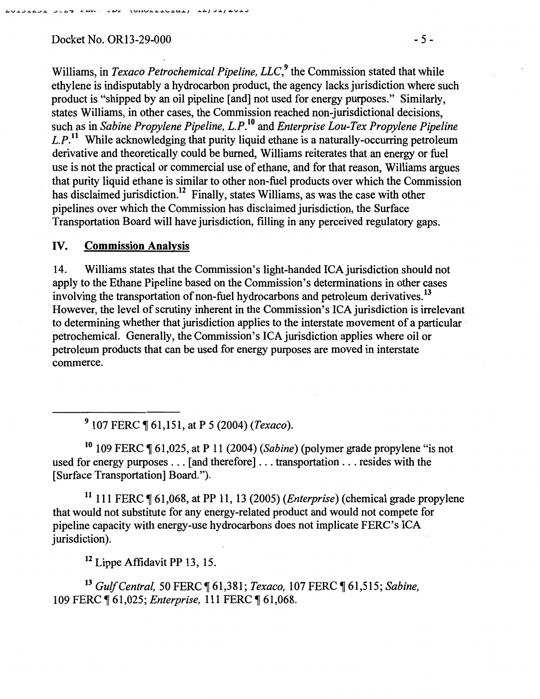**DAR NERA YAN TANATIRATAN TAN SANA** 

Williams, in *Texaco Petrochemical Pipeline, LLC*,<sup>9</sup> the Commission stated that while ethylene is indisputably a hydrocarbon product, the agency lacks jurisdiction where such product is "shipped by an oil pipeline [and] not used for energy purposes." Similarly, states Williams, in other cases, the Commission reached non-jurisdictional decisions, such as in *Sabine Propylene Pipeline, L.P!*<sup>0</sup>and *Enterprise Lou-Tex Propylene Pipeline L.P.*11 While acknowledging that purity liquid ethane is a naturally-occurring petroleum derivative and theoretically could be burned, Williams reiterates that an energy or fuel use is not the practical or commercial use of ethane, and for that reason, Williams argues that purity liquid ethane is similar to other non-fuel products over which the Commission has disclaimed jurisdiction.<sup>12</sup> Finally, states Williams, as was the case with other pipelines over which the Commission has disclaimed jurisdiction, the Surface Transportation Board will have jurisdiction, filling in any perceived regulatory gaps.

### IV. Commission Analysis

14. Williams states that the Commission's light-handed ICA jurisdiction should not apply to the Ethane Pipeline based on the Commission's determinations in other cases involving the transportation of non-fuel hydrocarbons and petroleum derivatives.<sup>13</sup> However, the level of scrutiny inherent in the Commission's ICA jurisdiction is irrelevant to determining whether that jurisdiction applies to the interstate movement of a particular · petrochemical. Generally, the Commission's ICA jurisdiction applies where oil or petroleum products that can be used for energy purposes are moved in interstate commerce.

9 107 FERC ~ 61,151, at P 5 (2004) *(Texaco).* 

<sup>10</sup> 109 FERC ¶ 61,025, at P 11 (2004) *(Sabine)* (polymer grade propylene "is not used for energy purposes ... [and therefore] ... transportation ... resides with the [Surface Transportation] Board.").

11 111 FERC ~ 61,068, at PP 11, 13 (2005) *(Enterprise)* (chemical grade propylene that would not substitute for any energy-related product and would not compete for pipeline capacity with energy-use hydrocarbons does not implicate FERC's ICA jurisdiction).

12 Lippe Affidavit PP 13, 15.

<sup>13</sup> Gulf Central, 50 FERC ¶ 61,381; *Texaco*, 107 FERC ¶ 61,515; *Sabine*, 109 FERC ¶ 61,025; *Enterprise*, 111 FERC ¶ 61,068.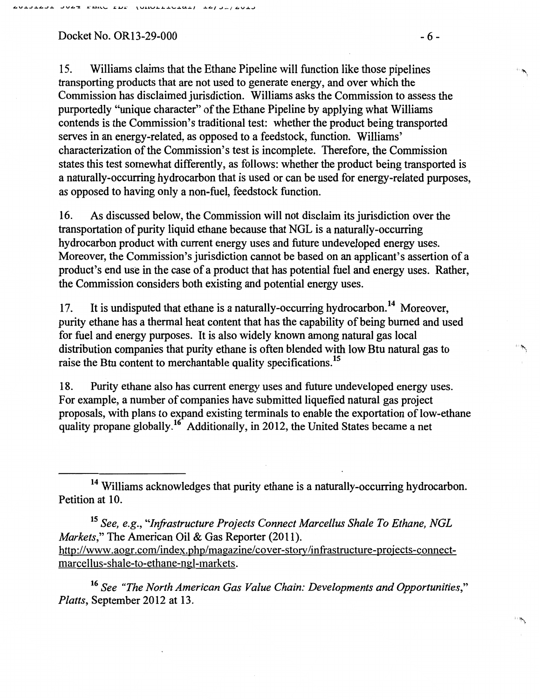Docket No. OR13-29-000 - 6 -

15. Williams claims that the Ethane Pipeline will function like those pipelines transporting products that are not used to generate energy, and over which the Commission has disclaimed jurisdiction. Williams asks the Commission to assess the purportedly ''unique character" of the Ethane Pipeline by applying what Williams contends is the Commission's traditional test: whether the product being transported serves in an energy-related, as opposed to a feedstock, function. Williams' characterization of the Commission's test is incomplete. Therefore, the Commission states this test somewhat differently, as follows: whether the product being transported is a naturally-occurring hydrocarbon that is used or can be used for energy-related purposes, as opposed to having only a non-fuel, feedstock function.

16. As discussed below, the Commission will not disclaim its jurisdiction over the transportation of purity liquid ethane because that NGL is a naturally-occurring hydrocarbon product with current energy uses and future undeveloped energy uses. Moreover, the Commission's jurisdiction cannot be based on an applicant's assertion of a product's end use in the case of a product that has potential fuel and energy uses. Rather, the Commission considers both existing and potential energy uses.

17. It is undisputed that ethane is a naturally-occurring hydrocarbon.<sup>14</sup> Moreover, purity ethane has a thermal heat content that has the capability of being burned and used for fuel and energy purposes. It is also widely known among natural gas local distribution companies that purity ethane is often blended with low Btu natural gas to raise the Btu content to merchantable quality specifications.<sup>15</sup>

18. Purity ethane also has current energy uses and future undeveloped energy uses. For example, a number of companies have submitted liquefied natural gas project proposals, with plans to expand existing terminals to enable the exportation of low-ethane quality propane globally.<sup>16</sup> Additionally, in 2012, the United States became a net

<sup>15</sup>*See, e.g., "Infrastructure Projects Connect Marcellus Shale To Ethane, NGL Markets,"* The American Oil & Gas Reporter (2011). http://www.aogr.com/index.php/magazine/cover-story/infrastructure-projects-connectmarcellus-shale-to-ethane-ngl-markets.

<sup>16</sup>*See "The North American Gas Value Chain: Developments and Opportunities," Platts,* September 2012 at 13.

' '" .,

 $\overline{\mathcal{D}}$ 

<sup>&</sup>lt;sup>14</sup> Williams acknowledges that purity ethane is a naturally-occurring hydrocarbon. Petition at 10.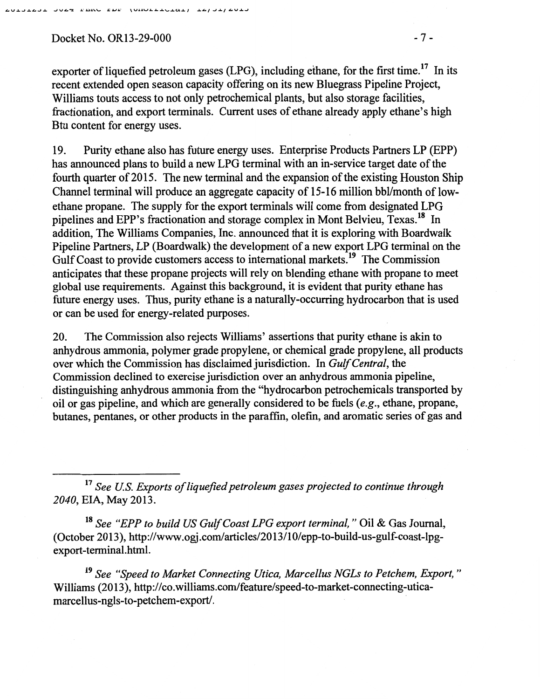Docket No. OR13-29-000 - 7 -

exporter of liquefied petroleum gases (LPG), including ethane, for the first time.<sup>17</sup> In its recent extended open season capacity offering on its new Bluegrass Pipeline Project, Williams touts access to not only petrochemical plants, but also storage facilities, fractionation, and export terminals. Current uses of ethane already apply. ethane's high Btu content for energy uses.

19. Purity ethane also has future energy uses. Enterprise Products Partners LP (EPP) has announced plans to build a new LPG terminal with an in-service target date of the fourth quarter of 2015. The new terminal and the expansion of the existing Houston Ship Channel terminal will produce an aggregate capacity of 15-16 million bbl/month of lowethane propane. The supply for the export terminals will come from designated LPG pipelines and EPP's fractionation and storage complex in Mont Belvieu, Texas.<sup>18</sup> In addition, The Williams Companies, Inc. announced that it is exploring with Boardwalk Pipeline Partners, LP (Boardwalk) the development of a new export LPG terminal on the Gulf Coast to provide customers access to international markets.<sup>19</sup> The Commission anticipates that these propane projects will rely on blending ethane with propane to meet global use requirements. Against this background, it is evident that purity ethane has future energy uses. Thus, purity ethane is a naturally-occurring hydrocarbon that is used or can be used for energy-related purposes.

20. The Commission also rejects Williams' assertions that purity ethane is akin to anhydrous ammonia, polymer grade propylene, or chemical grade propylene, all products over which the Commission has disclaimed jurisdiction. In *Gulf Central,* the Commission declined to exercise jurisdiction over an anhydrous ammonia pipeline, distinguishing anhydrous ammonia from the "hydrocarbon petrochemicals transported by oil or gas pipeline, and which are generally considered to be fuels *(e.g.,* ethane, propane, butanes, pentanes, or other products in the paraffm, olefin, and aromatic series of gas and

<sup>17</sup>*See U.S. Exports of liquefied petroleum gases projected to continue through 2040,* EIA, May 2013.

<sup>18</sup>*See "EPP to build US Gulf Coast LPG export terminal,"* Oil & Gas Journal, (October 2013), http://www.ogj.com/articles/2013/10/epp-to-build-us-gulf-coast-lpgexport-terminal.html.

19 *See "Speed to Market Connecting Utica, Marcellus NGLs to Petchem, Export,* " Williams (2013), http://co.williams.com/feature/speed-to-market-connecting-uticamarcellus-ngls-to-petchem-export/.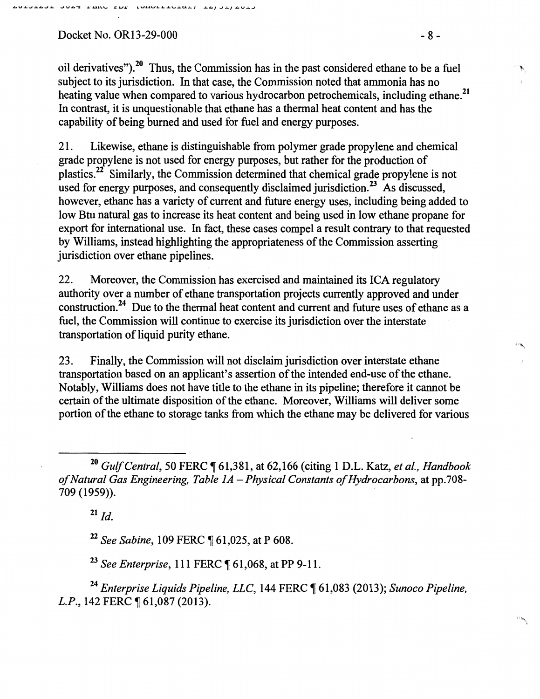#### Docket No. OR13-29-000 - 8 -

oil derivatives").<sup>20</sup> Thus, the Commission has in the past considered ethane to be a fuel subject to its jurisdiction. In that case, the Commission noted that ammonia has no heating value when compared to various hydrocarbon petrochemicals, including ethane.<sup>21</sup> In contrast, it is unquestionable that ethane has a thermal heat content and has the capability of being burned and used for fuel and energy purposes.

21. Likewise, ethane is distinguishable from polymer grade propylene and chemical grade propylene is not used for energy purposes, but rather for the production of plastics.22 Similarly, the Commission determined that chemical grade propylene is not used for energy purposes, and consequently disclaimed jurisdiction.<sup>23</sup> As discussed, however, ethane has a variety of current and future energy uses, including being added to low Btu natural gas to increase its heat content and being used in low ethane propane for export for international use. In fact, these cases compel a result contrary to that requested by Williams, instead highlighting the appropriateness of the Commission asserting jurisdiction over ethane pipelines.

22. Moreover, the Commission has exercised and maintained its ICA regulatory authority over a number of ethane transportation projects currently approved and under construction. 24 Due to the thermal heat content and current and future uses of ethane as a fuel, the Commission will continue to exercise its jurisdiction over the interstate transportation of liquid purity ethane.

23. Finally, the Commission will not disclaim jurisdiction over interstate ethane transportation based on an applicant's assertion of the intended end-use of the ethane. Notably, Williams does not have title to the ethane in its pipeline; therefore it cannot be certain of the ultimate disposition of the ethane. Moreover, Williams will deliver some portion of the ethane to storage tanks from which the ethane may be delivered for various

<sup>20</sup> Gulf Central, 50 FERC ¶ 61,381, at 62,166 (citing 1 D.L. Katz, et al., Handbook *of Natural Gas Engineering, Table JA- Physical Constants of Hydrocarbons,* at pp.708- 709 (1959)). .

 $^{21}$  *Id.* 

<sup>22</sup> See Sabine, 109 FERC ¶ 61,025, at P 608.

<sup>23</sup> See Enterprise, 111 FERC ¶ 61,068, at PP 9-11.

<sup>24</sup> Enterprise Liquids Pipeline, LLC, 144 FERC ¶ 61,083 (2013); *Sunoco Pipeline*, *L.P.*, 142 FERC ¶ 61,087 (2013).

 $~\tilde{}~$